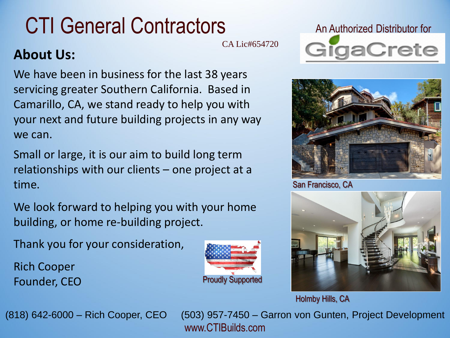## CTI General Contractors

CA Lic#654720

## **About Us:**

We have been in business for the last 38 years servicing greater Southern California. Based in Camarillo, CA, we stand ready to help you with your next and future building projects in any way we can.

Small or large, it is our aim to build long term relationships with our clients – one project at a time.

We look forward to helping you with your home building, or home re-building project.

Thank you for your consideration,

Rich Cooper Founder, CEO







San Francisco, CA



Holmby Hills, CA

(818) 642-6000 – Rich Cooper, CEO (503) 957-7450 – Garron von Gunten, Project Development www.CTIBuilds.com